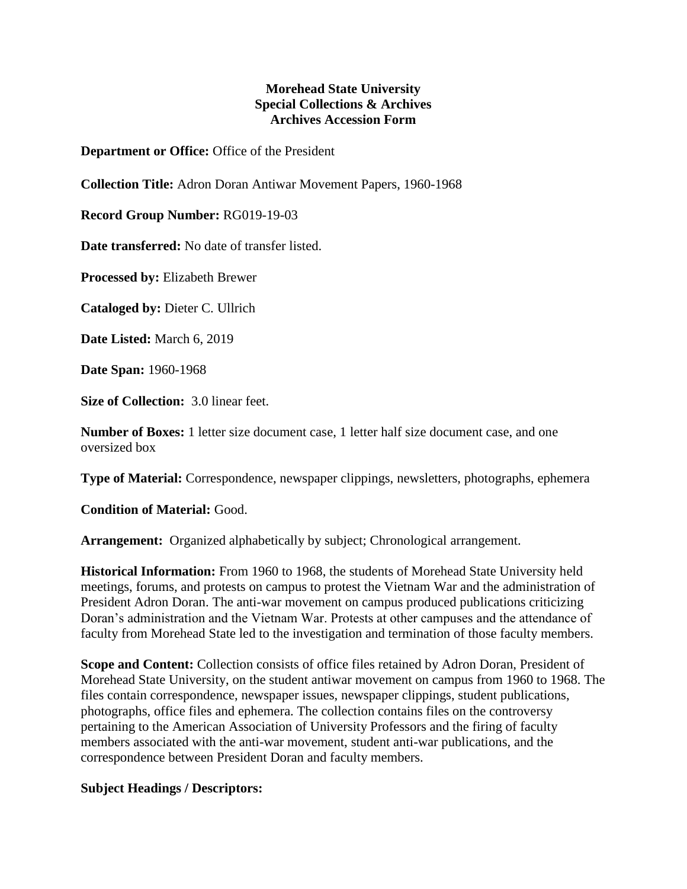## **Morehead State University Special Collections & Archives Archives Accession Form**

**Department or Office:** Office of the President

**Collection Title:** Adron Doran Antiwar Movement Papers, 1960-1968

**Record Group Number:** RG019-19-03

**Date transferred:** No date of transfer listed.

**Processed by:** Elizabeth Brewer

**Cataloged by:** Dieter C. Ullrich

**Date Listed:** March 6, 2019

**Date Span:** 1960-1968

**Size of Collection:** 3.0 linear feet.

**Number of Boxes:** 1 letter size document case, 1 letter half size document case, and one oversized box

**Type of Material:** Correspondence, newspaper clippings, newsletters, photographs, ephemera

**Condition of Material:** Good.

**Arrangement:** Organized alphabetically by subject; Chronological arrangement.

**Historical Information:** From 1960 to 1968, the students of Morehead State University held meetings, forums, and protests on campus to protest the Vietnam War and the administration of President Adron Doran. The anti-war movement on campus produced publications criticizing Doran's administration and the Vietnam War. Protests at other campuses and the attendance of faculty from Morehead State led to the investigation and termination of those faculty members.

**Scope and Content:** Collection consists of office files retained by Adron Doran, President of Morehead State University, on the student antiwar movement on campus from 1960 to 1968. The files contain correspondence, newspaper issues, newspaper clippings, student publications, photographs, office files and ephemera. The collection contains files on the controversy pertaining to the American Association of University Professors and the firing of faculty members associated with the anti-war movement, student anti-war publications, and the correspondence between President Doran and faculty members.

## **Subject Headings / Descriptors:**